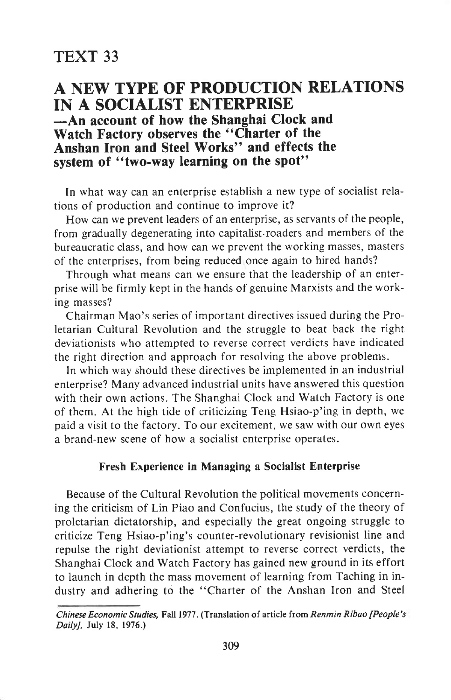## A NEW TYPE OF PRODUCTION RELATIONS IN A SOCIALIST ENTERPRISE<br>
— An account of how the Shanghai Clock and -An account of how the Shanghai Clock and Watch Factory observes the "Charter of the Anshan Iron and Steel Works" and effects the system of "two-way learning on the spot"

In what way can an enterprise establish a new type of socialist relations of production and continue to improve it?

How can we prevent leaders of an enterprise, as servants of the people, from gradually degenerating into capitalist-roaders and members of the bureaucratic class, and how can we prevent the working masses, masters of the enterprises, from being reduced once again to hired hands?

Through what means can we ensure that the leadership of an enterprise will be firmly kept in the hands of genuine Marxists and the working masses?

Chairman Mao's series of important directives issued during the Proletarian Cultural Revolution and the struggle to beat back the right deviationists who attempted to reverse correct verdicts have indicated the right direction and approach for resolving the above problems.

In which way should these directives be implemented in an industrial enterprise? Many advanced industrial units have answered this question with their own actions. The Shanghai Clock and Watch Factory is one of them. At the high tide of criticizing Teng Hsiao-p'ing in depth, we paid a visit to the factory. To our excitement, we saw with our own eyes a brand-new scene of how a socialist enterprise operates.

## Fresh Experience in Managing a Socialist Enterprise

Because of the Cultural Revolution the political movements concerning the criticism of Lin Piao and Confucius, the study of the theory of proletarian dictatorship, and especially the great ongoing struggle to criticize Teng Hsiao-p'ing's counter-revolutionary revisionist line and repulse the right deviationist attempt to reverse correct verdicts, the Shanghai Clock and Watch Factory has gained new ground in its effort to launch in depth the mass movement of learning from Taching in industry and adhering to the "Charter of the Anshan Iron and Steel

Chinese Economic Sludies, Fall 1977 . (Translation of article from Renmin Ribao [People's Dailyl, July 18, 1976.)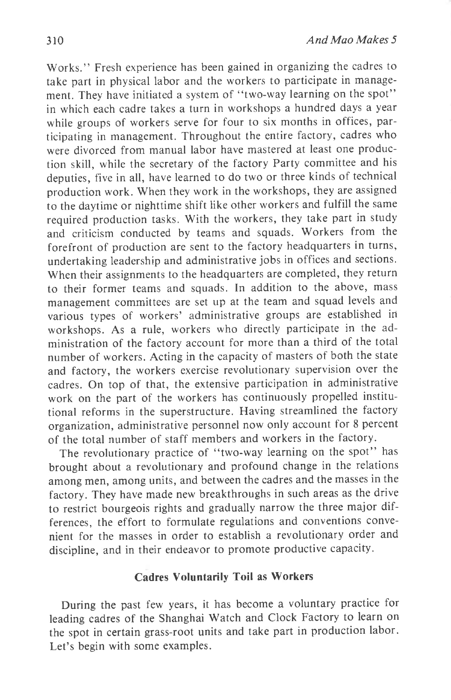Works." Fresh experience has been gained in organizing the cadres to take part in physical labor and the workers to participate in management. They have initiated a system of "two-way learning on the spot" in which each cadre takes a turn in workshops a hundred days a year while groups of workers serve for four to six months in offices, participating in management. Throughout the entire factory, cadres who were divorced from manual labor have mastered at least one production skill, while the secretary of the factory Party committee and his deputies, five in all, have learned to do two or three kinds of technical production work. When they work in the workshops, they are assigned to the daytime or nighttime shift like other workers and fulfill the same required production tasks. With the workers, they take part in study and criticism conducted by teams and squads. Workers from the forefront of production are sent to the factory headquarters in turns, undertaking leadership and administrative jobs in offices and sections. When their assignments to the headquarters are completed, they return to their former teams and squads. In addition to the above, mass management committees are set up at the team and squad levels and various types of workers' administrative groups are established in workshops. As a rule, workers who directly participate in the administration of the factory account for more than a third of the total number of workers. Acting in the capacity of masters of both the state and factory, the workers exercise revolutionary supervision over the cadres. On top of that, the extensive participation in administrative work on the part of the workers has continuously propelled institutional reforms in the superstructure. Having streamlined the factory organization, administrative personnel now only account for 8 percent of the total number of staff members and workers in the factory.

The revolutionary practice of "two-way learning on the spot" has brought about a revolutionary and profound change in the relations among men, among units, and between the cadres and the masses in the factory. They have made new breakthroughs in such areas as the drive to restrict bourgeois rights and gradually narrow the three major differences, the effort to formulate regulations and conventions convenient for the masses in order to establish a revolutionary order and discipline, and in their endeavor to promote productive capacity.

## Cadres Voluntarily Toil as Workers

During the past few years, it has become a voluntary practice for leading cadres of the Shanghai Watch and Clock Factory to learn on the spot in certain grass-root units and take part in production labor. Let's begin with some examples.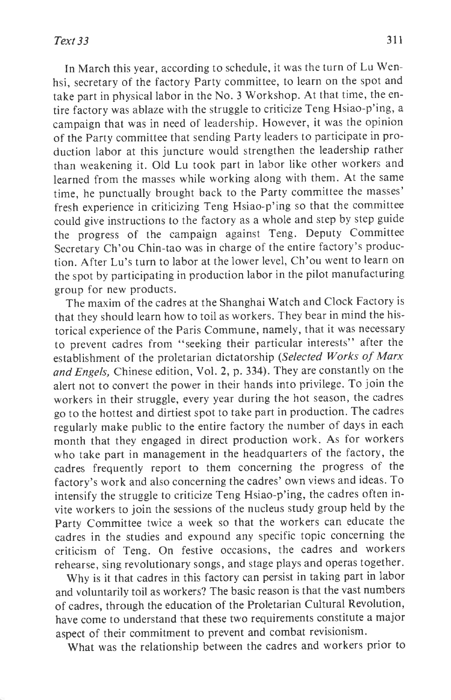In March this year, according to schedule, it was the turn of Lu Wenhsi, secretary of the factory Party committee, to learn on the spot and take part in physical labor in the No. 3 Workshop. At that time, the entire factory was ablaze with the struggle to criticize Teng Hsiao-p'ing, <sup>a</sup> campaign that was in need of leadership. However, it was the opinion of the Party committee that sending Party leaders to participate in production Iabor at this juncture would strengthen the leadership rather than weakening it. Old Lu took part in labor like other workers and learned from the masses while working along with them. At the same time, he punctually brought back to the Party committee the masses' fresh experience in criticizing Teng Hsiao-p'ing so that the committee could give instructions to the factory as a whole and step by step guide the progress of the campaign against Teng. Deputy Committee Secretary Ch'ou Chin-tao was in charge of the entire factory's production. After Lu's turn to labor at the lower level, Ch'ou went to learn on the spot by participating in production labor in the pilot manufacturing group for new products.

The maxim of the cadres at the Shanghai Watch and Clock Factory is that they should learn how to toil as workers. They bear in mind the historical experience of the Paris Commune, namely, that it was necessary to prevent cadres from "seeking their particular interests" after the establishment of the proletarian dictatorship (Selected Works of Marx and Engels, Chinese edition, Vol. 2, p. 334). They are constantly on the alert not to convert the power in their hands into privilege. To join the workers in their struggle, every year during the hot season, the cadres go to the hottest and dirtiest spot to take part in production. The cadres regularly make public to the entire factory the number of days in each month that they engaged in direct production work. As for workers who take part in management in the headquarters of the factory, the cadres frequently report to them concerning the progress of the factory's work and also concerning the cadres' own views and ideas. To intensify the struggle to criticize Teng Hsiao-p'ing, the cadres often invite workers to join the sessions of the nucleus study group held by the Party Committee twice a week so that the workers can educate the cadres in the studies and expound any specific topic concerning the criticism of Teng. On festive occasions, the cadres and workers rehearse, sing revolutionary songs, and stage plays and operas together.

Why is it that cadres in this factory can persist in taking part in labor and voluntarily toil as workers? The basic reason is that the vast numbers of cadres, through the education of the Proletarian cultural Revolution, have come to understand that these two requirements constitute a major aspect of their commitment to prevent and combat revisionism.

What was the relationship between the cadres and workers prior to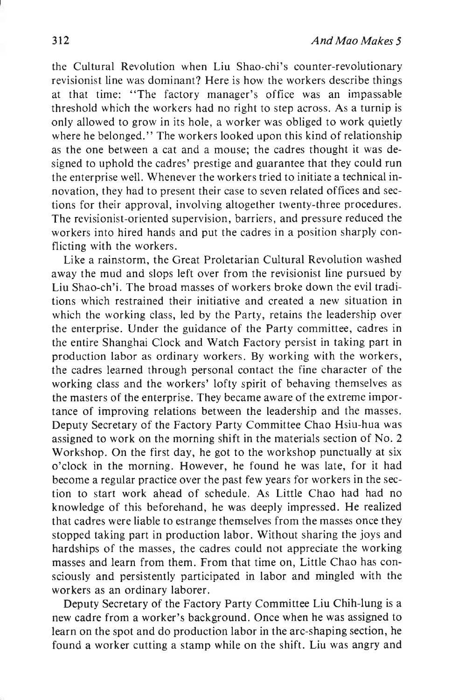the Cultural Revolution when Liu Shao-chi's counter-revolutionary revisionist line was dominant? Here is how the workers describe things at that time: "The factory manager's office was an impassable threshold which the workers had no right to step across. As a turnip is only allowed to grow in its hole, a worker was obliged to work quietly where he belonged." The workers looked upon this kind of relationship as the one between a cat and a mouse; the cadres thought it was designed to uphold the cadres' prestige and guarantee that they could run the enterprise well. Whenever the workers tried to initiate a technical innovation, they had to present their case to seven related offices and sections for their approval, involving altogether twenty-three procedures. The revisionist-oriented supervision, barriers, and pressure reduced the workers into hired hands and put the cadres in a position sharply conflicting with the workers.

Like a rainstorm, the Great Proletarian Cultural Revolution washed away the mud and slops left over from the revisionist line pursued by Liu Shao-ch'i. The broad masses of workers broke down the evil traditions which restrained their initiative and created a new situation in which the working class, led by the Party, retains the leadership over the enterprise. Under the guidance of the Party committee, cadres in the entire Shanghai Clock and Watch Factory persist in taking part in production labor as ordinary workers. By working with the workers, the cadres learned through personal contact the fine character of the working class and the workers' lofty spirit of behaving themselves as the masters of the enterprise. They became aware of the extreme importance of improving relations between the leadership and the masses. Deputy Secretary of the Factory Party Committee Chao Hsiu-hua was assigned to work on the morning shift in the materials section of No. 2 Workshop. On the first day, he got to the workshop punctually at six o'clock in the morning. However, he found he was late, for it had become a regular practice over the past few years for workers in the section to start work ahead of schedule. As Little Chao had had no knowledge of this beforehand, he was deeply impressed. He realized that cadres were liable to estrange themselves from the masses once they stopped taking part in production labor. Without sharing the joys and hardships of the masses, the cadres could not appreciate the working masses and learn from them. From that time on, Little Chao has consciously and persistently participated in labor and mingled with the workers as an ordinary laborer,

Deputy Secretary of the Factory Party Committee Liu Chih-lung is <sup>a</sup> new cadre from a worker's background. Once when he was assigned to learn on the spot and do production labor in the arc-shaping section, he found a worker cutting a stamp while on the shift. Liu was angry and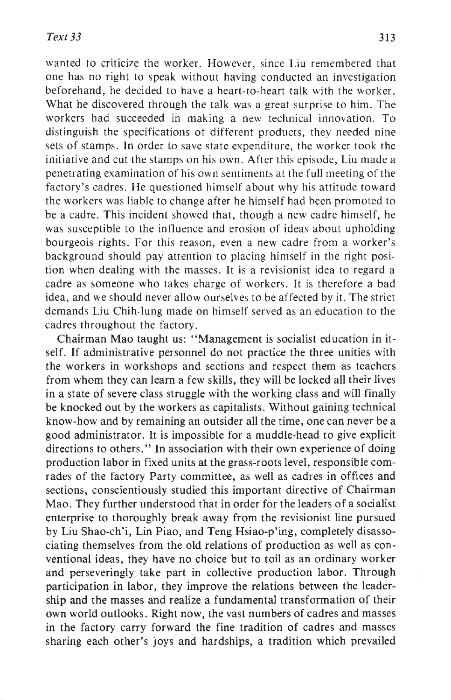wanted to criticize the worker. However, since Liu remembered that one has no right to speak without having conducted an investigation beforehand, he decided to have a heart-to-heart talk with the worker. What he discovered through the talk was a great surprise to him. The workers had succeeded in making a new technical innovation. To distinguish the specifications of different products, they needed nine sets of stamps. In order to save state expenditure, the worker took the initiative and cut the stamps on his own. After this episode, Liu made a penetrating examination of his own sentiments at the full meeting of the factory's cadres. He questioned himself about why his attitude toward the workers was liable to change after he himself had been promoted to be a cadre. This incident showed that, though a new cadre himself, he was susceptible to the influence and erosion of ideas about upholding bourgeois rights. For this reason, even a new cadre from a worker's background should pay attention to placing himself in the right position when dealing with the masses. It is a revisionist idea to regard <sup>a</sup> cadre as someone who takes charge of workers. It is therefore a bad idea, and we should never allow ourselves to be affected by it. The strict demands Liu Chih-lung made on himself served as an education to the cadres throughout the factory.

Chairman Mao taught us: "Management is socialist education in itself. If administrative personnel do not practice the three unities with the workers in workshops and sections and respect them as teachers from whom they can learn a few skills, they will be locked all their lives in a state of severe class struggle with the working class and will finally be knocked out by the workers as capitalists. Without gaining technical know-how and by remaining an outsider all the time, one can never be a good administrator. It is impossible for a muddle-head to give explicit directions to others." In association with their own experience of doing production labor in fixed units at the grass-roots level, responsible comrades of the factory Party committee, as well as cadres in offices and sections, conscientiously studied this important directive of Chairman Mao. They further understood that in order for the leaders of a socialist enterprise to thoroughly break away from the revisionist line pursued by Liu Shao-ch'i, Lin Piao, and Teng Hsiao-p'ing, completely disassociating themselves from the old relations of production as well as conventional ideas, they have no choice but to toil as an ordinary worker and perseveringly take part in collective production labor. Through participation in labor, they improve the relations between the leadership and the masses and realize a fundamental transformation of their own world outlooks. Right now, the vast numbers of cadres and masses in the factory carry forward the fine tradition of cadres and masses sharing each other's joys and hardships, a tradition which prevailed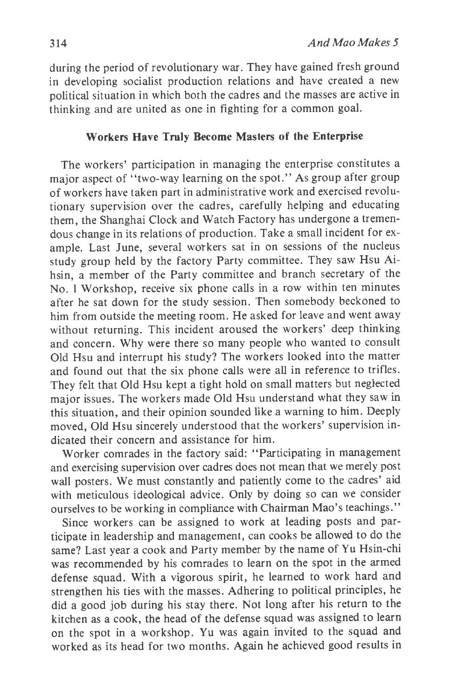during the period of revolutionary war. They have gained fresh ground in developing socialist production relations and have created a new political situation in which both the cadres and the masses are active in thinking and are united as one in fighting for a common goal.

## Workers Have Truly Become Masters of the Enterprise

The workers' participation in managing the enterprise constitutes <sup>a</sup> major aspect of "two-way learning on the spot." As group after group of workers have taken part in administrative work and exercised revolutionary supervision over the cadres, carefully helping and educating them, the Shanghai Clock and Watch Factory has undergone a tremendous change in its relations of production. Take a small incident for example. Last June, several workers sat in on sessions of the nucleus study group held by the factory Party committee. They saw Hsu Aihsin, a member of the Party committee and branch secretary of the No. I Workshop, receive six phone calls in a row within ten minutes after he sat down for the study session. Then somebody beckoned to him from outside the meeting room. He asked for leave and went away without returning. This incident aroused the workers' deep thinking and concern. Why were there so many people who wanted to consult Old Hsu and interrupt his study? The workers looked into the matter and found out that the six phone calls were all in reference to trifles. They felt that Old Hsu kept a tight hold on small matters but neglected major issues. The workers made Old Hsu understand what they saw in this situation, and their opinion sounded like a warning to him. Deeply moved, Old Hsu sincerely understood that the workers' supervision indicated their concern and assistance for him.

Worker comrades in the factory said: "Participating in management and exercising supervision over cadres does not mean that we merely post wall posters. We must constantly and patiently come to the cadres' aid with meticulous ideological advice. Only by doing so can we consider ourselves to be working in compliance with Chairman Mao's teachings."

Since workers can be assigned to work at leading posts and participate in leadership and management, can cooks be allowed to do the same? Last year a cook and Party member by the name of Yu Hsin-chi was recommended by his comrades to learn on the spot in the armed defense squad. With a vigorous spirit, he learned to work hard and strengthen his ties with the masses. Adhering to political principles, he did a good job during his stay there. Not long after his return to the kitchen as a cook, the head of the defense squad was assigned to learn on the spot in a workshop. Yu was again invited to the squad and worked as its head for two months. Again he achieved good results in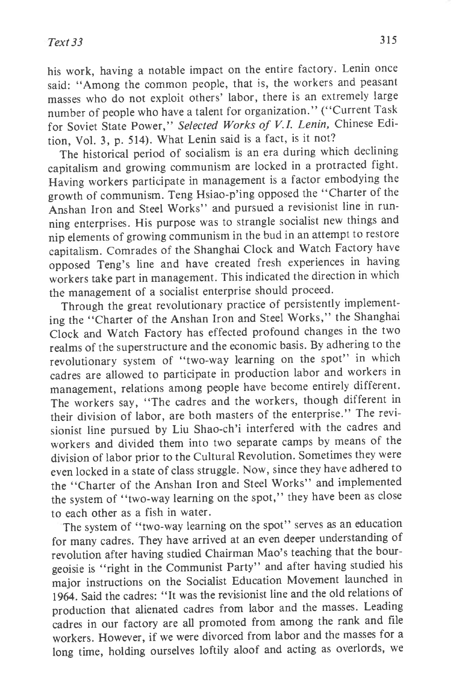his work, having a notable impact on the entire factory. Lenin once said: "Among the common people, that is, the workers and peasant masses who do not exploit others' Iabor, there is an extremely large number of people who have a talent for organization." ("Current Task for Soviet State Power," Selected Works of V.I. Lenin, Chinese Edition, Vol. 3, p. 514). What Lenin said is a fact, is it not?

The historical period of socialism is an era during which declining capitalism and growing communism are locked in a protracted fight. Having workers participate in management is a factor embodying the growth of communism. Teng Hsiao-p'ing opposed the "charter of the Anshan Iron and Steel Works" and pursued a revisionist line in running enterprises. His purpose was to strangle socialist new things and nip elements of growing communism in the bud in an attempt to restore capitalism. comrades of the Shanghai clock and watch Factory have opposed Teng's line and have created fresh experiences in having workers take part in management. This indicated the direction in which the management of a socialist enterprise should proceed.

Through the great revolutionary practice of persistently implementing the "Charter of the Anshan Iron and Steel Works," the Shanghai Clock and Watch Factory has effected profound changes in the two realms of the superstructure and the economic basis. By adhering to the revolutionary system of "two-way learning on the spot" in which cadres are allowed to participate in production labor and workers in management, relations among people have become entirely different. The workers say, "The cadres and the workers, though different in their division of labor, are both masters of the enterprise." The revisionist line pursued by Liu Shao-ch'i interfered with the cadres and workers and divided them into two separate camps by means of the division of labor prior to the Cultural Revolution. Sometimes they were even locked in a state of class struggle. Now, since they have adhered to the "Charter of the Anshan Iron and Steel Works" and implemented the system of "two-way learning on the spot," they have been as close to each other as a fish in water.

The system of "two-way learning on the spot" serves as an education for many cadres. They have arrived at an even deeper understanding of revolution after having studied Chairman Mao's teaching that the bourgeoisie is "right in the Communist Party" and after having studied his major instructions on the Socialist Education Movement launched in 1964. Said the cadres: "It was the revisionist line and the old relations of production that alienated cadres from labor and the masses. Leading cadres in our factory are all promoted from among the rank and file workers. However, if we were divorced from labor and the masses for <sup>a</sup> long time, holding ourselves loftily aloof and acting as overlords, we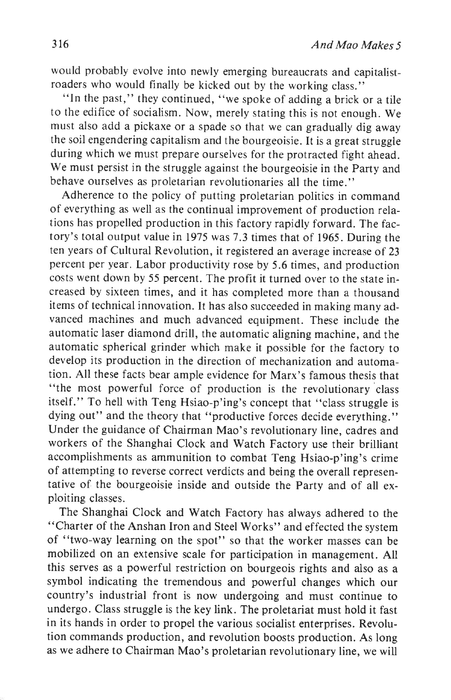would probably evolve into newly emerging bureaucrats and capitalistroaders who would finally be kicked out by the working class."

"ln the past," they continued, "we spoke of adding a brick or a tile to the edifice of socialism. Now, merely stating this is not enough. We must also add a pickaxe or a spade so that we can gradually dig away the soil engendering capitalism and the bourgeoisie. It is a great struggle during which we must prepare ourselves for the protracted fight ahead. We must persist in the struggle against the bourgeoisie in the Party and behave ourselves as proletarian revolutionaries all the time."

Adherence to the policy of putting proletarian politics in command of everything as well as the continual improvement of production relations has propelled production in this factory rapidly forward. The factory's total output value in 1975 was 7.3 times that of 1965. During the ten years of Cultural Revolution, it registered an average increase of <sup>23</sup> percent per year. Labor productivity rose by 5.6 times, and production costs went down by 55 percent. The profit it turned over to the state increased by sixteen times, and it has completed more than a thousand items of technical innovation. It has also succeeded in making many advanced machines and much advanced equipment. These include the automatic laser diamond drill, the automatic aligning machine, and the automatic spherical grinder which make it possible for the factory to develop its production in the direction of mechanization and automation. All these facts bear ample evidence for Marx's famous thesis that "the most powerful force of production is the revolutionary class itself." To hell with Teng Hsiao-p'ing's concept that "class struggle is dying out" and the theory that "productive forces decide everything." Under the guidance of Chairman Mao's revolutionary line, cadres and workers of the Shanghai Clock and Watch Factory use their brilliant accomplishments as ammunition to combat Teng Hsiao-p'ing's crime of attempting to reverse correct verdicts and being the overall representative of the bourgeoisie inside and outside the Party and of all exploiting classes.

The Shanghai Clock and Watch Factory has always adhered to the "Charter of the Anshan Iron and Steel Works" and effected the system of "two-way learning on the spot" so that the worker masses can be mobilized on an extensive scale for participation in management. All this serves as a powerful restriction on bourgeois rights and also as <sup>a</sup> symbol indicating the tremendous and powerful changes which our country's industrial front is now undergoing and must continue to undergo. Class struggle is the key link. The proletariat must hold it fast in its hands in order to propel the various socialist enterprises. Revolution commands production, and revolution boosts production. As long as we adhere to Chairman Mao's proletarian revolutionary line, we will